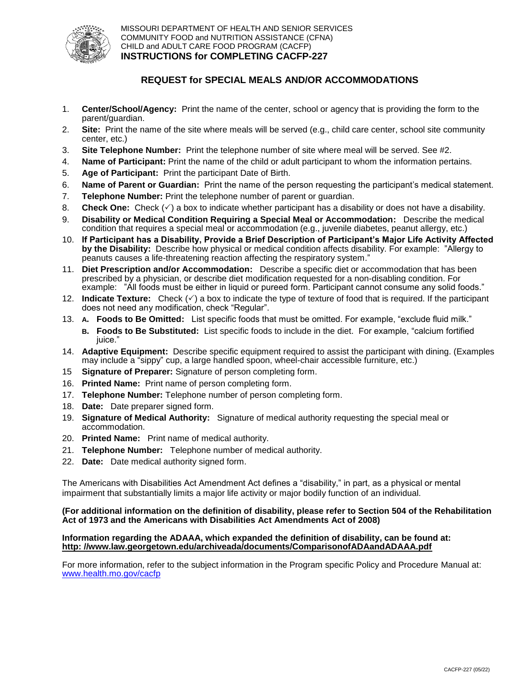

## **REQUEST for SPECIAL MEALS AND/OR ACCOMMODATIONS**

- 1. **Center/School/Agency:** Print the name of the center, school or agency that is providing the form to the parent/guardian.
- 2. **Site:** Print the name of the site where meals will be served (e.g., child care center, school site community center, etc.)
- 3. **Site Telephone Number:** Print the telephone number of site where meal will be served. See #2.
- 4. **Name of Participant:** Print the name of the child or adult participant to whom the information pertains.
- 5. **Age of Participant:** Print the participant Date of Birth.
- 6. **Name of Parent or Guardian:** Print the name of the person requesting the participant's medical statement.
- 7. **Telephone Number:** Print the telephone number of parent or guardian.
- 8. **Check One:** Check  $(\check{\phantom{e}})$  a box to indicate whether participant has a disability or does not have a disability.
- 9. **Disability or Medical Condition Requiring a Special Meal or Accommodation:** Describe the medical condition that requires a special meal or accommodation (e.g., juvenile diabetes, peanut allergy, etc.)
- 10. **If Participant has a Disability, Provide a Brief Description of Participant's Major Life Activity Affected by the Disability:** Describe how physical or medical condition affects disability. For example: "Allergy to peanuts causes a life-threatening reaction affecting the respiratory system."
- 11. **Diet Prescription and/or Accommodation:** Describe a specific diet or accommodation that has been prescribed by a physician, or describe diet modification requested for a non-disabling condition. For example: "All foods must be either in liquid or pureed form. Participant cannot consume any solid foods."
- 12. **Indicate Texture:** Check ( $\checkmark$ ) a box to indicate the type of texture of food that is required. If the participant does not need any modification, check "Regular".
- 13. **A. Foods to Be Omitted:** List specific foods that must be omitted. For example, "exclude fluid milk." **B. Foods to Be Substituted:** List specific foods to include in the diet. For example, "calcium fortified juice."
- 14. **Adaptive Equipment:** Describe specific equipment required to assist the participant with dining. (Examples may include a "sippy" cup, a large handled spoon, wheel-chair accessible furniture, etc.)
- 15 **Signature of Preparer:** Signature of person completing form.
- 16. **Printed Name:** Print name of person completing form.
- 17. **Telephone Number:** Telephone number of person completing form.
- 18. **Date:** Date preparer signed form.
- 19. **Signature of Medical Authority:** Signature of medical authority requesting the special meal or accommodation.
- 20. **Printed Name:** Print name of medical authority.
- 21. **Telephone Number:** Telephone number of medical authority.
- 22. **Date:** Date medical authority signed form.

The Americans with Disabilities Act Amendment Act defines a "disability," in part, as a physical or mental impairment that substantially limits a major life activity or major bodily function of an individual.

## **(For additional information on the definition of disability, please refer to Section 504 of the Rehabilitation Act of 1973 and the Americans with Disabilities Act Amendments Act of 2008)**

## **Information regarding the ADAAA, which expanded the definition of disability, can be found at: [http: //www.law.georgetown.edu/archiveada/documents/ComparisonofADAandADAAA.pdf](http://www.law.georgetown.edu/archiveada/documents/ComparisonofADAandADAAA.pdf)**

For more information, refer to the subject information in the Program specific Policy and Procedure Manual at: [www.health.mo.gov/cacfp](http://www.health.mo.gov/cacfp)